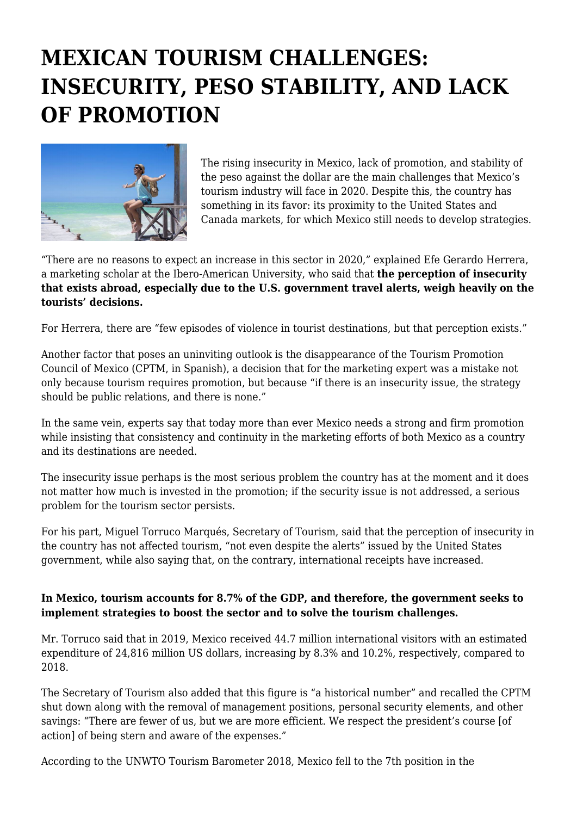## **MEXICAN TOURISM CHALLENGES: INSECURITY, PESO STABILITY, AND LACK OF PROMOTION**



The rising insecurity in Mexico, lack of promotion, and stability of the peso against the dollar are the main challenges that Mexico's tourism industry will face in 2020. Despite this, the country has something in its favor: its proximity to the United States and Canada markets, for which Mexico still needs to develop strategies.

"There are no reasons to expect an increase in this sector in 2020," explained Efe Gerardo Herrera, a marketing scholar at the Ibero-American University, who said that **the perception of insecurity that exists abroad, especially due to the U.S. government travel alerts, weigh heavily on the tourists' decisions.**

For Herrera, there are "few episodes of violence in tourist destinations, but that perception exists."

Another factor that poses an uninviting outlook is the disappearance of the Tourism Promotion Council of Mexico (CPTM, in Spanish), a decision that for the marketing expert was a mistake not only because tourism requires promotion, but because "if there is an insecurity issue, the strategy should be public relations, and there is none."

In the same vein, experts say that today more than ever Mexico needs a strong and firm promotion while insisting that consistency and continuity in the marketing efforts of both Mexico as a country and its destinations are needed.

The insecurity issue perhaps is the most serious problem the country has at the moment and it does not matter how much is invested in the promotion; if the security issue is not addressed, a serious problem for the tourism sector persists.

For his part, Miguel Torruco Marqués, Secretary of Tourism, said that the perception of insecurity in the country has not affected tourism, "not even despite the alerts" issued by the United States government, while also saying that, on the contrary, international receipts have increased.

## **In Mexico, tourism accounts for 8.7% of the GDP, and therefore, the government seeks to implement strategies to boost the sector and to solve the tourism challenges.**

Mr. Torruco said that in 2019, Mexico received 44.7 million international visitors with an estimated expenditure of 24,816 million US dollars, increasing by 8.3% and 10.2%, respectively, compared to 2018.

The Secretary of Tourism also added that this figure is "a historical number" and recalled the CPTM shut down along with the removal of management positions, personal security elements, and other savings: "There are fewer of us, but we are more efficient. We respect the president's course [of action] of being stern and aware of the expenses."

According to the UNWTO Tourism Barometer 2018, Mexico fell to the 7th position in the